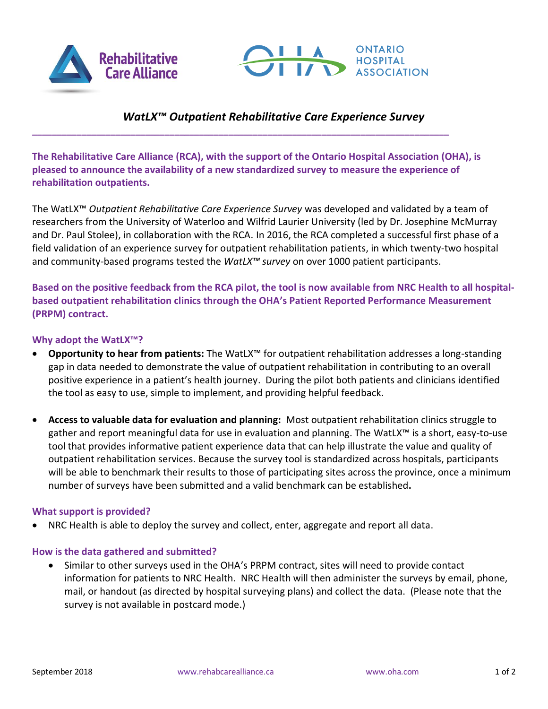



# *WatLX™ Outpatient Rehabilitative Care Experience Survey*

**The Rehabilitative Care Alliance (RCA), with the support of the Ontario Hospital Association (OHA), is pleased to announce the availability of a new standardized survey to measure the experience of rehabilitation outpatients.**

**\_\_\_\_\_\_\_\_\_\_\_\_\_\_\_\_\_\_\_\_\_\_\_\_\_\_\_\_\_\_\_\_\_\_\_\_\_\_\_\_\_\_\_\_\_\_\_\_\_\_\_\_\_\_\_\_\_\_\_\_\_\_\_\_\_\_\_\_\_\_\_\_\_\_\_\_\_\_\_\_\_\_\_\_\_**

The WatLX™ *Outpatient Rehabilitative Care Experience Survey* was developed and validated by a team of researchers from the University of Waterloo and Wilfrid Laurier University (led by Dr. Josephine McMurray and Dr. Paul Stolee), in collaboration with the RCA. In 2016, the RCA completed a successful first phase of a field validation of an experience survey for outpatient rehabilitation patients, in which twenty-two hospital and community-based programs tested the *WatLX™ survey* on over 1000 patient participants.

**Based on the positive feedback from the RCA pilot, the tool is now available from NRC Health to all hospitalbased outpatient rehabilitation clinics through the OHA's Patient Reported Performance Measurement (PRPM) contract.**

### **Why adopt the WatLX™?**

- **Opportunity to hear from patients:** The WatLX™ for outpatient rehabilitation addresses a long-standing gap in data needed to demonstrate the value of outpatient rehabilitation in contributing to an overall positive experience in a patient's health journey. During the pilot both patients and clinicians identified the tool as easy to use, simple to implement, and providing helpful feedback.
- **Access to valuable data for evaluation and planning:** Most outpatient rehabilitation clinics struggle to gather and report meaningful data for use in evaluation and planning. The WatLX™ is a short, easy-to-use tool that provides informative patient experience data that can help illustrate the value and quality of outpatient rehabilitation services. Because the survey tool is standardized across hospitals, participants will be able to benchmark their results to those of participating sites across the province, once a minimum number of surveys have been submitted and a valid benchmark can be established**.**

### **What support is provided?**

NRC Health is able to deploy the survey and collect, enter, aggregate and report all data.

### **How is the data gathered and submitted?**

 Similar to other surveys used in the OHA's PRPM contract, sites will need to provide contact information for patients to NRC Health. NRC Health will then administer the surveys by email, phone, mail, or handout (as directed by hospital surveying plans) and collect the data. (Please note that the survey is not available in postcard mode.)